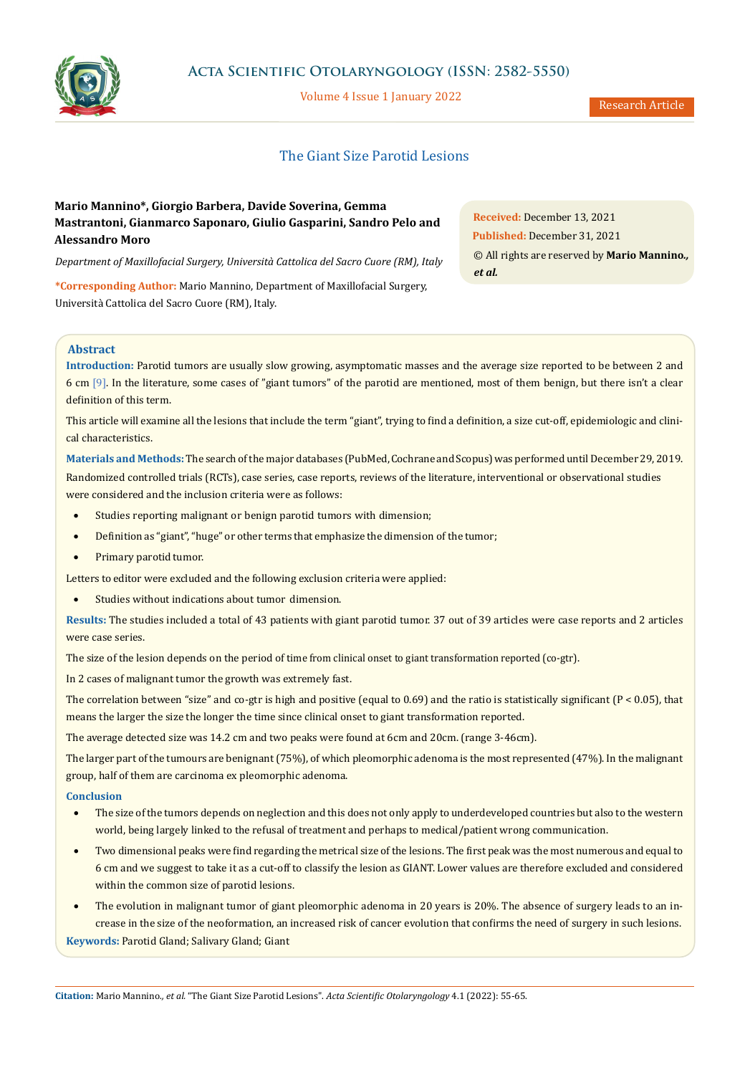

# **Acta Scientific Otolaryngology (ISSN: 2582-5550)**

Volume 4 Issue 1 January 2022

## The Giant Size Parotid Lesions

# **Mario Mannino\*, Giorgio Barbera, Davide Soverina, Gemma Mastrantoni, Gianmarco Saponaro, Giulio Gasparini, Sandro Pelo and Alessandro Moro**

*Department of Maxillofacial Surgery, Università Cattolica del Sacro Cuore (RM), Italy*

**\*Corresponding Author:** Mario Mannino, Department of Maxillofacial Surgery, Università Cattolica del Sacro Cuore (RM), Italy.

**Abstract**

**Introduction:** Parotid tumors are usually slow growing, asymptomatic masses and the average size reported to be between 2 and 6 cm [9]. In the literature, some cases of "giant tumors" of the parotid are mentioned, most of them benign, but there isn't a clear definition of this term.

This article will examine all the lesions that include the term "giant", trying to find a definition, a size cut-off, epidemiologic and clinical characteristics.

**Materials and Methods:** The search of the major databases (PubMed, Cochrane and Scopus) was performed until December 29, 2019. Randomized controlled trials (RCTs), case series, case reports, reviews of the literature, interventional or observational studies were considered and the inclusion criteria were as follows:

- Studies reporting malignant or benign parotid tumors with dimension;
- Definition as "giant", "huge" or other terms that emphasize the dimension of the tumor;
- Primary parotid tumor.

Letters to editor were excluded and the following exclusion criteria were applied:

• Studies without indications about tumor dimension.

**Results:** The studies included a total of 43 patients with giant parotid tumor. 37 out of 39 articles were case reports and 2 articles were case series.

The size of the lesion depends on the period of time from clinical onset to giant transformation reported (co-gtr).

In 2 cases of malignant tumor the growth was extremely fast.

The correlation between "size" and co-gtr is high and positive (equal to  $0.69$ ) and the ratio is statistically significant ( $P < 0.05$ ), that means the larger the size the longer the time since clinical onset to giant transformation reported.

The average detected size was 14.2 cm and two peaks were found at 6cm and 20cm. (range 3-46cm).

The larger part of the tumours are benignant (75%), of which pleomorphic adenoma is the most represented (47%). In the malignant group, half of them are carcinoma ex pleomorphic adenoma.

## **Conclusion**

- The size of the tumors depends on neglection and this does not only apply to underdeveloped countries but also to the western world, being largely linked to the refusal of treatment and perhaps to medical/patient wrong communication.
- Two dimensional peaks were find regarding the metrical size of the lesions. The first peak was the most numerous and equal to 6 cm and we suggest to take it as a cut-off to classify the lesion as GIANT. Lower values are therefore excluded and considered within the common size of parotid lesions.
- The evolution in malignant tumor of giant pleomorphic adenoma in 20 years is 20%. The absence of surgery leads to an increase in the size of the neoformation, an increased risk of cancer evolution that confirms the need of surgery in such lesions. **Keywords:** Parotid Gland; Salivary Gland; Giant

**Citation:** Mario Mannino*., et al.* "The Giant Size Parotid Lesions". *Acta Scientific Otolaryngology* 4.1 (2022): 55-65.

**Received:** December 13, 2021 **Published:** December 31, 2021 © All rights are reserved by **Mario Mannino***., et al.*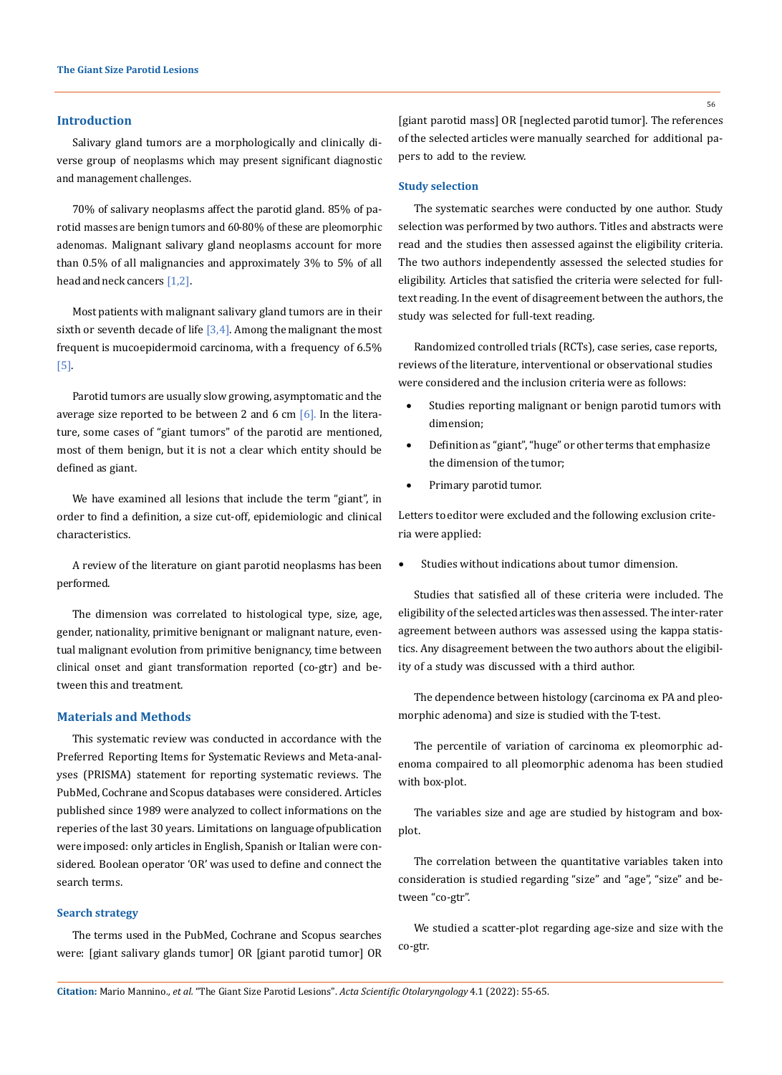#### **Introduction**

Salivary gland tumors are a morphologically and clinically diverse group of neoplasms which may present significant diagnostic and management challenges.

70% of salivary neoplasms affect the parotid gland. 85% of parotid masses are benign tumors and 60-80% of these are pleomorphic adenomas. Malignant salivary gland neoplasms account for more than 0.5% of all malignancies and approximately 3% to 5% of all head and neck cancers [1,2].

Most patients with malignant salivary gland tumors are in their sixth or seventh decade of life  $[3,4]$ . Among the malignant the most frequent is mucoepidermoid carcinoma, with a frequency of 6.5% [5].

Parotid tumors are usually slow growing, asymptomatic and the average size reported to be between 2 and 6 cm  $[6]$ . In the literature, some cases of "giant tumors" of the parotid are mentioned, most of them benign, but it is not a clear which entity should be defined as giant.

We have examined all lesions that include the term "giant", in order to find a definition, a size cut-off, epidemiologic and clinical characteristics.

A review of the literature on giant parotid neoplasms has been performed.

The dimension was correlated to histological type, size, age, gender, nationality, primitive benignant or malignant nature, eventual malignant evolution from primitive benignancy, time between clinical onset and giant transformation reported (co-gtr) and between this and treatment.

## **Materials and Methods**

This systematic review was conducted in accordance with the Preferred Reporting Items for Systematic Reviews and Meta-analyses (PRISMA) statement for reporting systematic reviews. The PubMed, Cochrane and Scopus databases were considered. Articles published since 1989 were analyzed to collect informations on the reperies of the last 30 years. Limitations on language of publication were imposed: only articles in English, Spanish or Italian were considered. Boolean operator 'OR' was used to define and connect the search terms.

## **Search strategy**

The terms used in the PubMed, Cochrane and Scopus searches were: [giant salivary glands tumor] OR [giant parotid tumor] OR [giant parotid mass] OR [neglected parotid tumor]. The references of the selected articles were manually searched for additional papers to add to the review.

#### **Study selection**

The systematic searches were conducted by one author. Study selection was performed by two authors. Titles and abstracts were read and the studies then assessed against the eligibility criteria. The two authors independently assessed the selected studies for eligibility. Articles that satisfied the criteria were selected for fulltext reading. In the event of disagreement between the authors, the study was selected for full-text reading.

Randomized controlled trials (RCTs), case series, case reports, reviews of the literature, interventional or observational studies were considered and the inclusion criteria were as follows:

- Studies reporting malignant or benign parotid tumors with dimension;
- Definition as "giant", "huge" or other terms that emphasize the dimension of the tumor;
- Primary parotid tumor.

Letters to editor were excluded and the following exclusion criteria were applied:

Studies without indications about tumor dimension.

Studies that satisfied all of these criteria were included. The eligibility of the selected articles was then assessed. The inter-rater agreement between authors was assessed using the kappa statistics. Any disagreement between the two authors about the eligibility of a study was discussed with a third author.

The dependence between histology (carcinoma ex PA and pleomorphic adenoma) and size is studied with the T-test.

The percentile of variation of carcinoma ex pleomorphic adenoma compaired to all pleomorphic adenoma has been studied with box-plot.

The variables size and age are studied by histogram and boxplot.

The correlation between the quantitative variables taken into consideration is studied regarding "size" and "age", "size" and between "co-gtr".

We studied a scatter-plot regarding age-size and size with the co-gtr.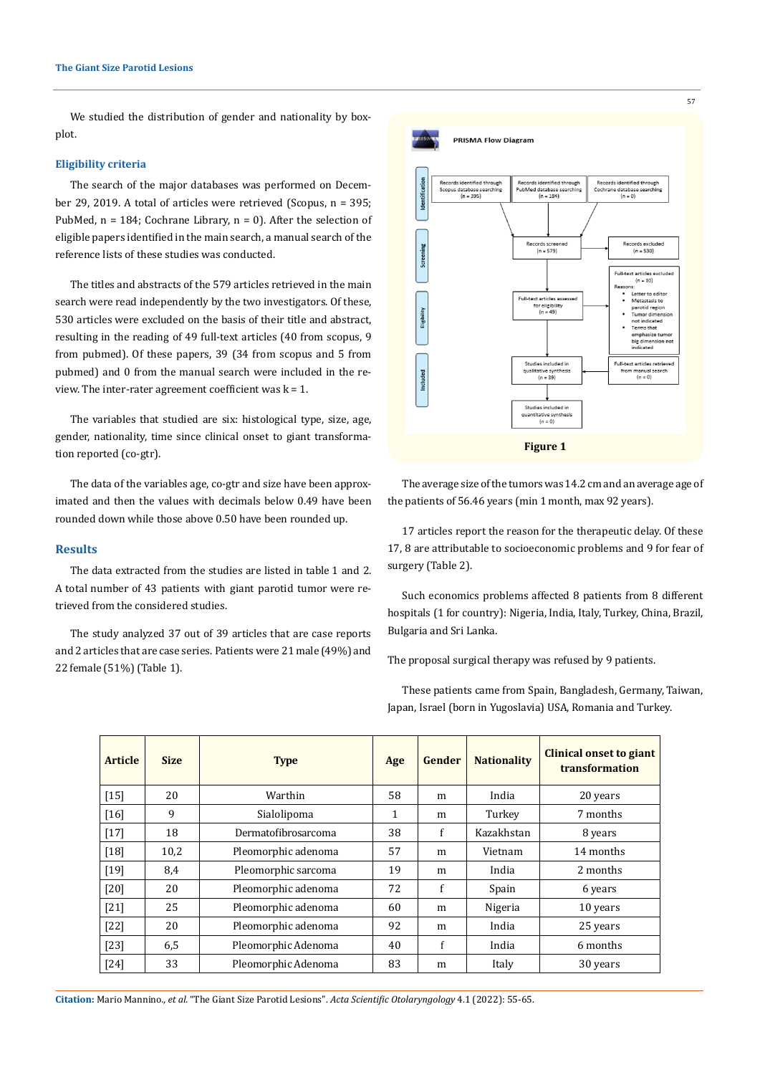We studied the distribution of gender and nationality by boxplot.

## **Eligibility criteria**

The search of the major databases was performed on December 29, 2019. A total of articles were retrieved (Scopus, n = 395; PubMed,  $n = 184$ ; Cochrane Library,  $n = 0$ ). After the selection of eligible papers identified in the main search, a manual search of the reference lists of these studies was conducted.

The titles and abstracts of the 579 articles retrieved in the main search were read independently by the two investigators. Of these, 530 articles were excluded on the basis of their title and abstract, resulting in the reading of 49 full-text articles (40 from scopus, 9 from pubmed). Of these papers, 39 (34 from scopus and 5 from pubmed) and 0 from the manual search were included in the review. The inter-rater agreement coefficient was  $k = 1$ .

The variables that studied are six: histological type, size, age, gender, nationality, time since clinical onset to giant transformation reported (co-gtr).

The data of the variables age, co-gtr and size have been approximated and then the values with decimals below 0.49 have been rounded down while those above 0.50 have been rounded up.

## **Results**

The data extracted from the studies are listed in table 1 and 2. A total number of 43 patients with giant parotid tumor were retrieved from the considered studies.

The study analyzed 37 out of 39 articles that are case reports and 2 articles that are case series. Patients were 21 male (49%) and 22 female (51%) (Table 1).



The average size of the tumors was 14.2 cm and an average age of the patients of 56.46 years (min 1 month, max 92 years).

17 articles report the reason for the therapeutic delay. Of these 17, 8 are attributable to socioeconomic problems and 9 for fear of surgery (Table 2).

Such economics problems affected 8 patients from 8 different hospitals (1 for country): Nigeria, India, Italy, Turkey, China, Brazil, Bulgaria and Sri Lanka.

The proposal surgical therapy was refused by 9 patients.

These patients came from Spain, Bangladesh, Germany, Taiwan, Japan, Israel (born in Yugoslavia) USA, Romania and Turkey.

| <b>Article</b> | <b>Size</b> | <b>Type</b>         | Age | Gender | <b>Nationality</b> | Clinical onset to giant<br>transformation |
|----------------|-------------|---------------------|-----|--------|--------------------|-------------------------------------------|
| $[15]$         | 20          | Warthin             | 58  | m      | India              | 20 years                                  |
| $[16]$         | 9           | Sialolipoma         | 1   | m      | Turkey             | 7 months                                  |
| $[17]$         | 18          | Dermatofibrosarcoma | 38  | f      | Kazakhstan         | 8 years                                   |
| $[18]$         | 10,2        | Pleomorphic adenoma | 57  | m      | Vietnam            | 14 months                                 |
| $[19]$         | 8,4         | Pleomorphic sarcoma | 19  | m      | India              | 2 months                                  |
| $[20]$         | 20          | Pleomorphic adenoma | 72  | f      | Spain              | 6 years                                   |
| $[21]$         | 25          | Pleomorphic adenoma | 60  | m      | Nigeria            | 10 years                                  |
| $[22]$         | 20          | Pleomorphic adenoma | 92  | m      | India              | 25 years                                  |
| $[23]$         | 6,5         | Pleomorphic Adenoma | 40  | f      | India              | 6 months                                  |
| $[24]$         | 33          | Pleomorphic Adenoma | 83  | m      | Italy              | 30 years                                  |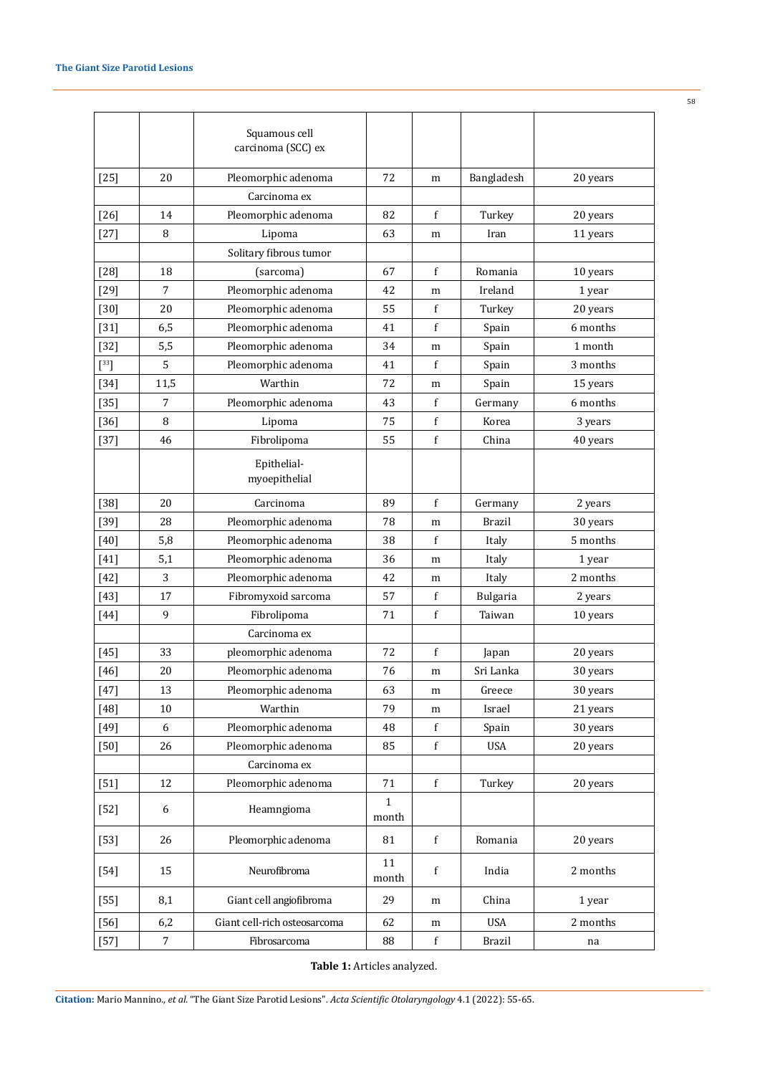|                      |                  | Squamous cell<br>carcinoma (SCC) ex |                       |              |               |          |
|----------------------|------------------|-------------------------------------|-----------------------|--------------|---------------|----------|
| $[25]$               | 20               | Pleomorphic adenoma                 | 72                    | m            | Bangladesh    | 20 years |
|                      |                  | Carcinoma ex                        |                       |              |               |          |
| $[26]$               | 14               | Pleomorphic adenoma                 | 82                    | f            | Turkey        | 20 years |
| $[27]$               | 8                | Lipoma                              | 63                    | m            | Iran          | 11 years |
|                      |                  | Solitary fibrous tumor              |                       |              |               |          |
| $[28]$               | 18               | (sarcoma)                           | 67                    | $\mathbf{f}$ | Romania       | 10 years |
| $[29]$               | 7                | Pleomorphic adenoma                 | 42                    | m            | Ireland       | 1 year   |
| $[30]$               | 20               | Pleomorphic adenoma                 | 55                    | f            | Turkey        | 20 years |
| $[31]$               | 6,5              | Pleomorphic adenoma                 | 41                    | f            | Spain         | 6 months |
| $[32]$               | 5,5              | Pleomorphic adenoma                 | 34                    | m            | Spain         | 1 month  |
| $\left[^{33}\right]$ | 5                | Pleomorphic adenoma                 | 41                    | f            | Spain         | 3 months |
| $[34]$               | 11,5             | Warthin                             | 72                    | m            | Spain         | 15 years |
| $[35]$               | 7                | Pleomorphic adenoma                 | 43                    | $\mathbf{f}$ | Germany       | 6 months |
| $[36]$               | 8                | Lipoma                              | 75                    | f            | Korea         | 3 years  |
| $[37]$               | 46               | Fibrolipoma                         | 55                    | f            | China         | 40 years |
|                      |                  | Epithelial-<br>myoepithelial        |                       |              |               |          |
| $[38]$               | 20               | Carcinoma                           | 89                    | $\mathbf{f}$ | Germany       | 2 years  |
| $[39]$               | 28               | Pleomorphic adenoma                 | 78                    | m            | <b>Brazil</b> | 30 years |
| $[40]$               | 5,8              | Pleomorphic adenoma                 | 38                    | $\mathbf{f}$ | Italy         | 5 months |
| $[41]$               | 5,1              | Pleomorphic adenoma                 | 36                    | m            | Italy         | 1 year   |
| $[42]$               | 3                | Pleomorphic adenoma                 | 42                    | m            | Italy         | 2 months |
| $[43]$               | 17               | Fibromyxoid sarcoma                 | 57                    | f            | Bulgaria      | 2 years  |
| $[44]$               | 9                | Fibrolipoma                         | 71                    | $\mathbf f$  | Taiwan        | 10 years |
|                      |                  | Carcinoma ex                        |                       |              |               |          |
| $[45]$               | 33               | pleomorphic adenoma                 | 72                    | $\mathbf f$  | Japan         | 20 years |
| $[46]$               | 20               | Pleomorphic adenoma                 | 76                    | m            | Sri Lanka     | 30 years |
| $[47]$               | 13               | Pleomorphic adenoma                 | 63                    | m            | Greece        | 30 years |
| $[48]$               | $10\,$           | Warthin                             | 79                    | m            | Israel        | 21 years |
| $[49]$               | 6                | Pleomorphic adenoma                 | 48                    | $\mathbf f$  | Spain         | 30 years |
| $[50]$               | 26               | Pleomorphic adenoma                 | 85                    | f            | <b>USA</b>    | 20 years |
|                      |                  | Carcinoma ex                        |                       |              |               |          |
| $[51]$               | 12               | Pleomorphic adenoma                 | 71                    | f            | Turkey        | 20 years |
| $[52]$               | 6                | Heamngioma                          | $\mathbf{1}$<br>month |              |               |          |
| $[53]$               | 26               | Pleomorphic adenoma                 | 81                    | $\mathbf f$  | Romania       | 20 years |
| $[54]$               | 15               | Neurofibroma                        | 11<br>month           | f            | India         | 2 months |
| $[55]$               | 8,1              | Giant cell angiofibroma             | 29                    | m            | China         | 1 year   |
| $[56]$               | 6,2              | Giant cell-rich osteosarcoma        | 62                    | m            | <b>USA</b>    | 2 months |
| $[57]$               | $\boldsymbol{7}$ | Fibrosarcoma                        | 88                    | $\mathbf f$  | <b>Brazil</b> | na       |

**Table 1:** Articles analyzed.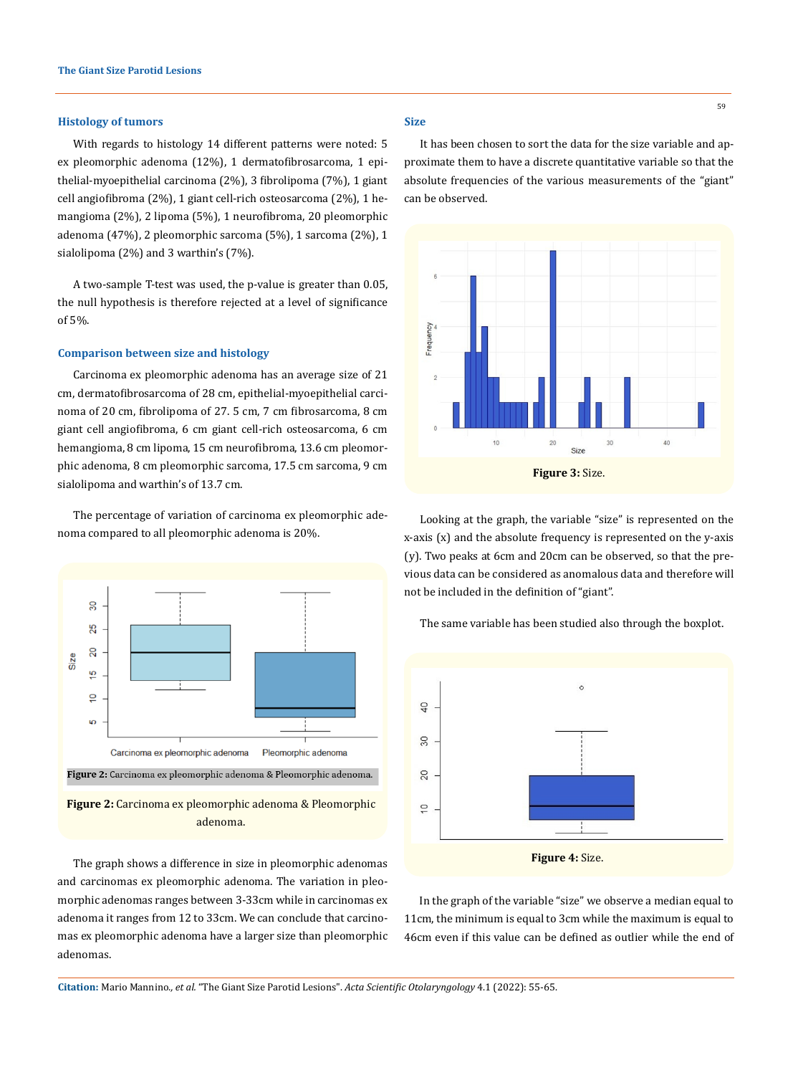### **Histology of tumors**

With regards to histology 14 different patterns were noted: 5 ex pleomorphic adenoma (12%), 1 dermatofibrosarcoma, 1 epithelial-myoepithelial carcinoma (2%), 3 fibrolipoma (7%), 1 giant cell angiofibroma (2%), 1 giant cell-rich osteosarcoma (2%), 1 hemangioma (2%), 2 lipoma (5%), 1 neurofibroma, 20 pleomorphic adenoma (47%), 2 pleomorphic sarcoma (5%), 1 sarcoma (2%), 1 sialolipoma (2%) and 3 warthin's (7%).

A two-sample T-test was used, the p-value is greater than 0.05, the null hypothesis is therefore rejected at a level of significance of 5%.

#### **Comparison between size and histology**

Carcinoma ex pleomorphic adenoma has an average size of 21 cm, dermatofibrosarcoma of 28 cm, epithelial-myoepithelial carcinoma of 20 cm, fibrolipoma of 27. 5 cm, 7 cm fibrosarcoma, 8 cm giant cell angiofibroma, 6 cm giant cell-rich osteosarcoma, 6 cm hemangioma, 8 cm lipoma, 15 cm neurofibroma, 13.6 cm pleomorphic adenoma, 8 cm pleomorphic sarcoma, 17.5 cm sarcoma, 9 cm sialolipoma and warthin's of 13.7 cm.

The percentage of variation of carcinoma ex pleomorphic adenoma compared to all pleomorphic adenoma is 20%.



The graph shows a difference in size in pleomorphic adenomas and carcinomas ex pleomorphic adenoma. The variation in pleomorphic adenomas ranges between 3-33cm while in carcinomas ex adenoma it ranges from 12 to 33cm. We can conclude that carcinomas ex pleomorphic adenoma have a larger size than pleomorphic adenomas.

#### **Size**

It has been chosen to sort the data for the size variable and approximate them to have a discrete quantitative variable so that the absolute frequencies of the various measurements of the "giant" can be observed.



Looking at the graph, the variable "size" is represented on the x-axis (x) and the absolute frequency is represented on the y-axis (y). Two peaks at 6cm and 20cm can be observed, so that the previous data can be considered as anomalous data and therefore will not be included in the definition of "giant".

The same variable has been studied also through the boxplot.



In the graph of the variable "size" we observe a median equal to 11cm, the minimum is equal to 3cm while the maximum is equal to 46cm even if this value can be defined as outlier while the end of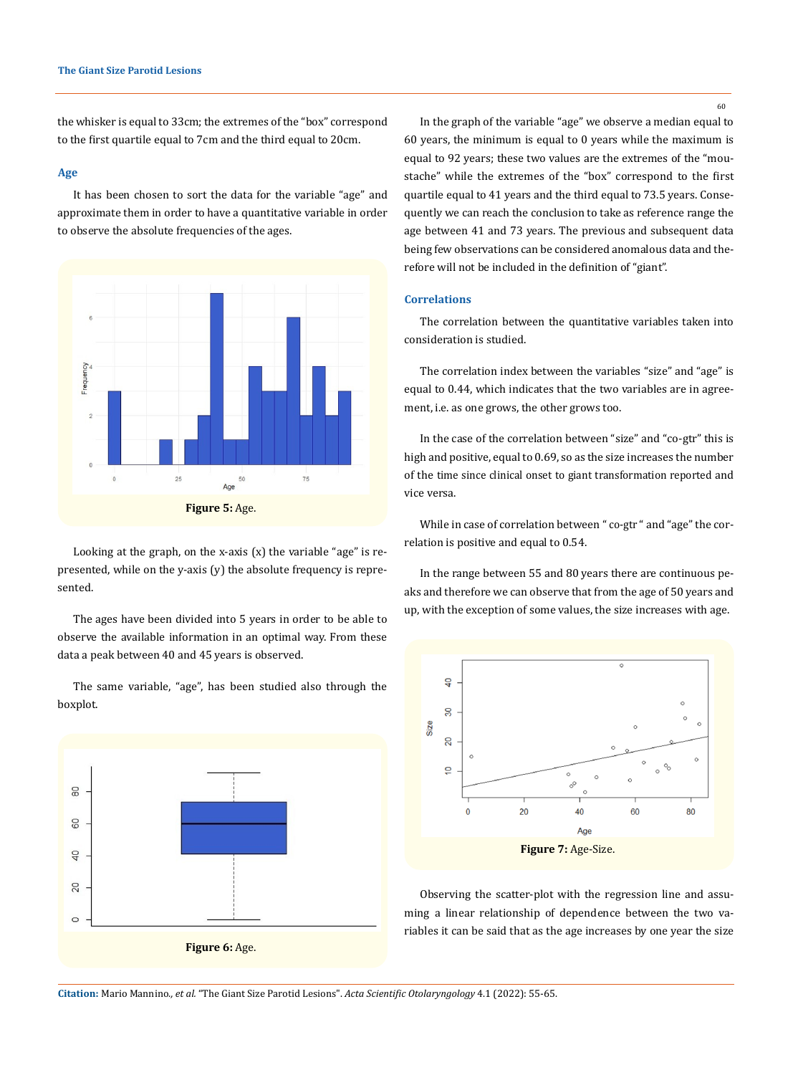the whisker is equal to 33cm; the extremes of the "box" correspond to the first quartile equal to 7cm and the third equal to 20cm.

#### **Age**

It has been chosen to sort the data for the variable "age" and approximate them in order to have a quantitative variable in order to observe the absolute frequencies of the ages.



Looking at the graph, on the x-axis  $(x)$  the variable "age" is represented, while on the y-axis (y) the absolute frequency is represented.

The ages have been divided into 5 years in order to be able to observe the available information in an optimal way. From these data a peak between 40 and 45 years is observed.

The same variable, "age", has been studied also through the boxplot.



In the graph of the variable "age" we observe a median equal to 60 years, the minimum is equal to 0 years while the maximum is equal to 92 years; these two values are the extremes of the "moustache" while the extremes of the "box" correspond to the first quartile equal to 41 years and the third equal to 73.5 years. Consequently we can reach the conclusion to take as reference range the age between 41 and 73 years. The previous and subsequent data being few observations can be considered anomalous data and therefore will not be included in the definition of "giant".

## **Correlations**

The correlation between the quantitative variables taken into consideration is studied.

The correlation index between the variables "size" and "age" is equal to 0.44, which indicates that the two variables are in agreement, i.e. as one grows, the other grows too.

In the case of the correlation between "size" and "co-gtr" this is high and positive, equal to 0.69, so as the size increases the number of the time since clinical onset to giant transformation reported and vice versa.

While in case of correlation between " co-gtr " and "age" the correlation is positive and equal to 0.54.

In the range between 55 and 80 years there are continuous peaks and therefore we can observe that from the age of 50 years and up, with the exception of some values, the size increases with age.



Observing the scatter-plot with the regression line and assuming a linear relationship of dependence between the two variables it can be said that as the age increases by one year the size

**Citation:** Mario Mannino*., et al.* "The Giant Size Parotid Lesions". *Acta Scientific Otolaryngology* 4.1 (2022): 55-65.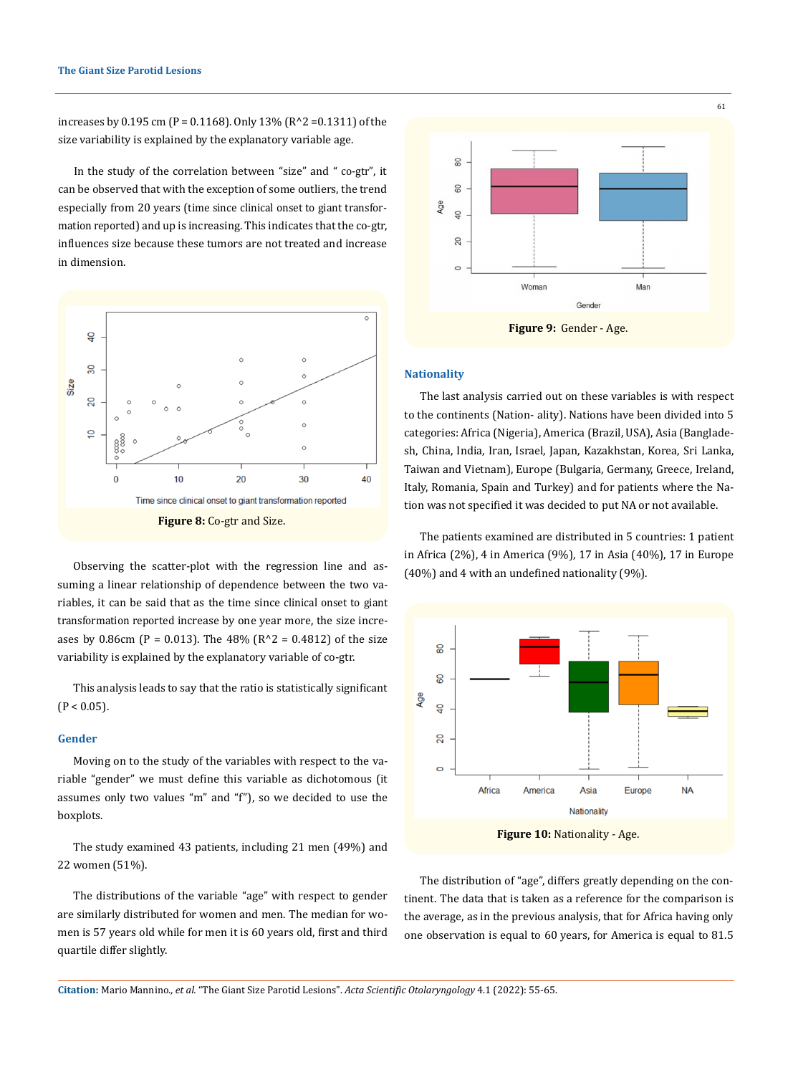increases by 0.195 cm (P = 0.1168). Only 13% (R^2 =0.1311) of the size variability is explained by the explanatory variable age.

In the study of the correlation between "size" and " co-gtr", it can be observed that with the exception of some outliers, the trend especially from 20 years (time since clinical onset to giant transformation reported) and up is increasing. This indicates that the co-gtr, influences size because these tumors are not treated and increase in dimension.



Observing the scatter-plot with the regression line and assuming a linear relationship of dependence between the two variables, it can be said that as the time since clinical onset to giant transformation reported increase by one year more, the size increases by 0.86cm (P = 0.013). The  $48\%$  (R^2 = 0.4812) of the size variability is explained by the explanatory variable of co-gtr.

This analysis leads to say that the ratio is statistically significant  $(P < 0.05)$ .

### **Gender**

Moving on to the study of the variables with respect to the variable "gender" we must define this variable as dichotomous (it assumes only two values "m" and "f"), so we decided to use the boxplots.

The study examined 43 patients, including 21 men (49%) and 22 women (51%).

The distributions of the variable "age" with respect to gender are similarly distributed for women and men. The median for women is 57 years old while for men it is 60 years old, first and third quartile differ slightly.



## **Nationality**

The last analysis carried out on these variables is with respect to the continents (Nation- ality). Nations have been divided into 5 categories: Africa (Nigeria), America (Brazil, USA), Asia (Bangladesh, China, India, Iran, Israel, Japan, Kazakhstan, Korea, Sri Lanka, Taiwan and Vietnam), Europe (Bulgaria, Germany, Greece, Ireland, Italy, Romania, Spain and Turkey) and for patients where the Nation was not specified it was decided to put NA or not available.

The patients examined are distributed in 5 countries: 1 patient in Africa (2%), 4 in America (9%), 17 in Asia (40%), 17 in Europe (40%) and 4 with an undefined nationality (9%).



The distribution of "age", differs greatly depending on the continent. The data that is taken as a reference for the comparison is the average, as in the previous analysis, that for Africa having only one observation is equal to 60 years, for America is equal to 81.5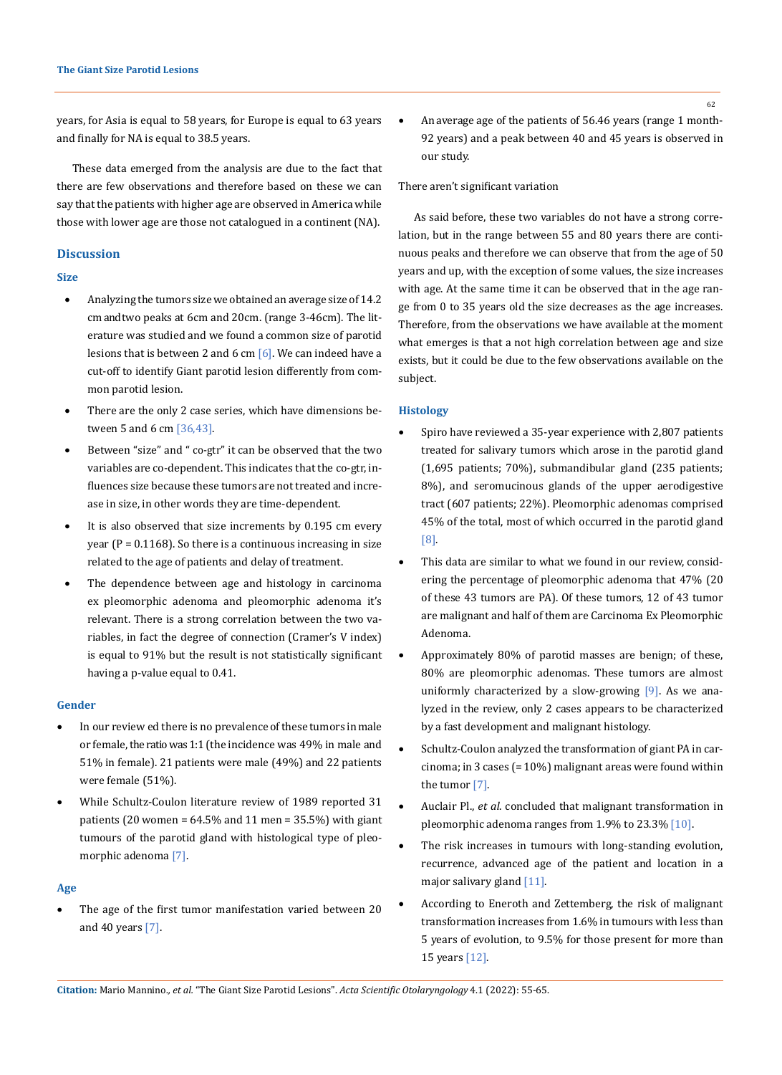years, for Asia is equal to 58 years, for Europe is equal to 63 years and finally for NA is equal to 38.5 years.

These data emerged from the analysis are due to the fact that there are few observations and therefore based on these we can say that the patients with higher age are observed in America while those with lower age are those not catalogued in a continent (NA).

## **Discussion**

## **Size**

- Analyzing the tumors size we obtained an average size of 14.2 cm and two peaks at 6cm and 20cm. (range 3-46cm). The literature was studied and we found a common size of parotid lesions that is between 2 and 6 cm  $[6]$ . We can indeed have a cut-off to identify Giant parotid lesion differently from common parotid lesion.
- There are the only 2 case series, which have dimensions between 5 and 6 cm [36,43].
- Between "size" and " co-gtr" it can be observed that the two variables are co-dependent. This indicates that the co-gtr, influences size because these tumors are not treated and increase in size, in other words they are time-dependent.
- It is also observed that size increments by 0.195 cm every year ( $P = 0.1168$ ). So there is a continuous increasing in size related to the age of patients and delay of treatment.
- The dependence between age and histology in carcinoma ex pleomorphic adenoma and pleomorphic adenoma it's relevant. There is a strong correlation between the two variables, in fact the degree of connection (Cramer's V index) is equal to 91% but the result is not statistically significant having a p-value equal to 0.41.

## **Gender**

- In our review ed there is no prevalence of these tumors in male or female, the ratio was 1:1 (the incidence was 49% in male and 51% in female). 21 patients were male (49%) and 22 patients were female (51%).
- While Schultz-Coulon literature review of 1989 reported 31 patients (20 women =  $64.5\%$  and 11 men =  $35.5\%$ ) with giant tumours of the parotid gland with histological type of pleomorphic adenoma [7].

#### **Age**

The age of the first tumor manifestation varied between 20 and 40 years [7].

An average age of the patients of 56.46 years (range 1 month-92 years) and a peak between 40 and 45 years is observed in our study.

## There aren't significant variation

As said before, these two variables do not have a strong correlation, but in the range between 55 and 80 years there are continuous peaks and therefore we can observe that from the age of 50 years and up, with the exception of some values, the size increases with age. At the same time it can be observed that in the age range from 0 to 35 years old the size decreases as the age increases. Therefore, from the observations we have available at the moment what emerges is that a not high correlation between age and size exists, but it could be due to the few observations available on the subject.

#### **Histology**

- Spiro have reviewed a 35-year experience with 2,807 patients treated for salivary tumors which arose in the parotid gland (1,695 patients; 70%), submandibular gland (235 patients; 8%), and seromucinous glands of the upper aerodigestive tract (607 patients; 22%). Pleomorphic adenomas comprised 45% of the total, most of which occurred in the parotid gland [8].
- This data are similar to what we found in our review, considering the percentage of pleomorphic adenoma that 47% (20 of these 43 tumors are PA). Of these tumors, 12 of 43 tumor are malignant and half of them are Carcinoma Ex Pleomorphic Adenoma.
- Approximately 80% of parotid masses are benign; of these, 80% are pleomorphic adenomas. These tumors are almost uniformly characterized by a slow-growing  $[9]$ . As we analyzed in the review, only 2 cases appears to be characterized by a fast development and malignant histology.
- Schultz-Coulon analyzed the transformation of giant PA in carcinoma; in 3 cases (= 10%) malignant areas were found within the tumor [7].
- Auclair Pl., *et al.* concluded that malignant transformation in pleomorphic adenoma ranges from 1.9% to 23.3% [10].
- The risk increases in tumours with long-standing evolution, recurrence, advanced age of the patient and location in a major salivary gland [11].
- According to Eneroth and Zettemberg, the risk of malignant transformation increases from 1.6% in tumours with less than 5 years of evolution, to 9.5% for those present for more than 15 years [12].

**Citation:** Mario Mannino*., et al.* "The Giant Size Parotid Lesions". *Acta Scientific Otolaryngology* 4.1 (2022): 55-65.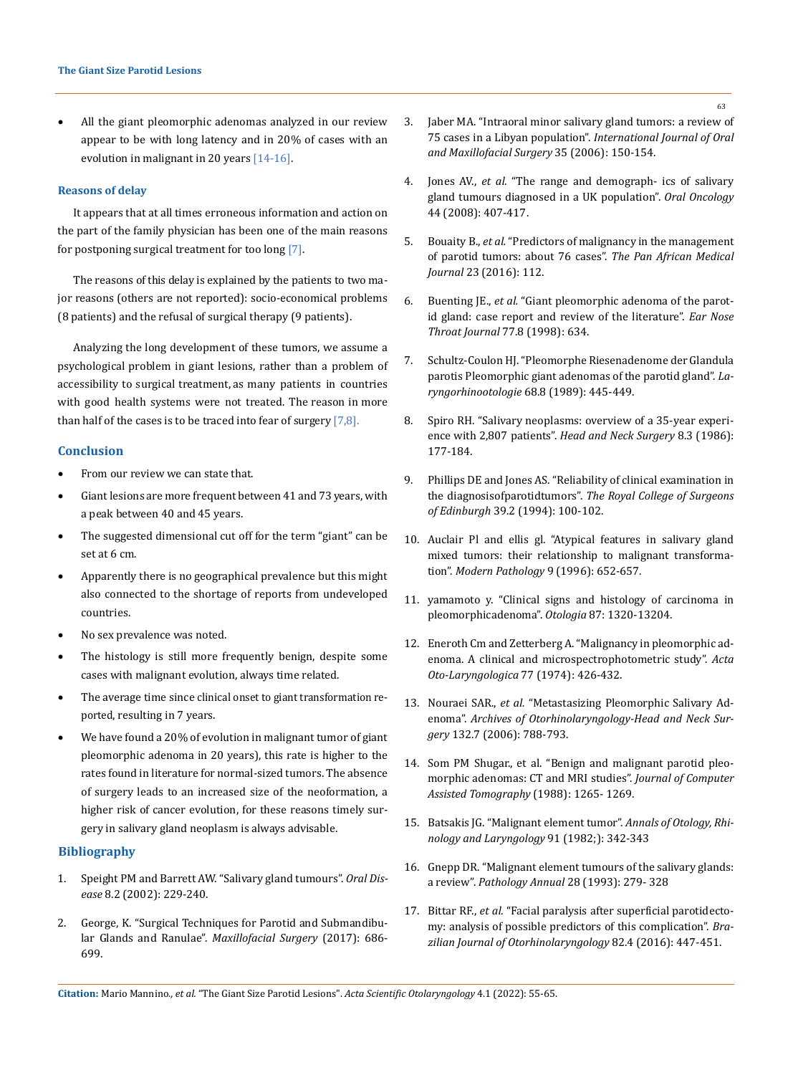All the giant pleomorphic adenomas analyzed in our review appear to be with long latency and in 20% of cases with an evolution in malignant in 20 years [14-16].

### **Reasons of delay**

It appears that at all times erroneous information and action on the part of the family physician has been one of the main reasons for postponing surgical treatment for too long [7].

The reasons of this delay is explained by the patients to two major reasons (others are not reported): socio-economical problems (8 patients) and the refusal of surgical therapy (9 patients).

Analyzing the long development of these tumors, we assume a psychological problem in giant lesions, rather than a problem of accessibility to surgical treatment, as many patients in countries with good health systems were not treated. The reason in more than half of the cases is to be traced into fear of surgery  $[7,8]$ .

## **Conclusion**

- From our review we can state that.
- Giant lesions are more frequent between 41 and 73 years, with a peak between 40 and 45 years.
- • The suggested dimensional cut off for the term "giant" can be set at 6 cm.
- Apparently there is no geographical prevalence but this might also connected to the shortage of reports from undeveloped countries.
- No sex prevalence was noted.
- The histology is still more frequently benign, despite some cases with malignant evolution, always time related.
- The average time since clinical onset to giant transformation reported, resulting in 7 years.
- We have found a 20% of evolution in malignant tumor of giant pleomorphic adenoma in 20 years), this rate is higher to the rates found in literature for normal-sized tumors. The absence of surgery leads to an increased size of the neoformation, a higher risk of cancer evolution, for these reasons timely surgery in salivary gland neoplasm is always advisable.

## **Bibliography**

- 1. [Speight PM and Barrett AW. "Salivary gland tumours".](https://pubmed.ncbi.nlm.nih.gov/12363107/) *Oral Disease* [8.2 \(2002\): 229-240.](https://pubmed.ncbi.nlm.nih.gov/12363107/)
- 2. [George, K. "Surgical Techniques for Parotid and Submandibu](https://www.researchgate.net/publication/314667494_Surgical_Techniques_for_Parotid_and_Submandibular_Glands_and_Ranulae)lar Glands and Ranulae". *Maxillofacial Surgery* (2017): 686- [699.](https://www.researchgate.net/publication/314667494_Surgical_Techniques_for_Parotid_and_Submandibular_Glands_and_Ranulae)
- 3. [Jaber MA. "Intraoral minor salivary gland tumors: a review of](https://pubmed.ncbi.nlm.nih.gov/16181771/)  75 cases in a Libyan population". *[International Journal of Oral](https://pubmed.ncbi.nlm.nih.gov/16181771/)  [and Maxillofacial Surgery](https://pubmed.ncbi.nlm.nih.gov/16181771/)* 35 (2006): 150-154.
- 4. Jones AV., *et al.* ["The range and demograph- ics of salivary](https://pubmed.ncbi.nlm.nih.gov/17825603/)  [gland tumours diagnosed in a UK population".](https://pubmed.ncbi.nlm.nih.gov/17825603/) *Oral Oncology* [44 \(2008\): 407-417.](https://pubmed.ncbi.nlm.nih.gov/17825603/)
- 5. Bouaity B., *et al.* ["Predictors of malignancy in the management](file:///E:/ANUSHA/Acta/JANAUARY/ASOL/ASOL-21-RA-282/The%20Pan%20African%20medical%20journal)  [of parotid tumors: about 76 cases".](file:///E:/ANUSHA/Acta/JANAUARY/ASOL/ASOL-21-RA-282/The%20Pan%20African%20medical%20journal) *The Pan African Medical Journal* [23 \(2016\): 112.](file:///E:/ANUSHA/Acta/JANAUARY/ASOL/ASOL-21-RA-282/The%20Pan%20African%20medical%20journal)
- 6. Buenting JE., *et al.* ["Giant pleomorphic adenoma of the parot](https://pubmed.ncbi.nlm.nih.gov/9745180/)[id gland: case report and review of the literature".](https://pubmed.ncbi.nlm.nih.gov/9745180/) *Ear Nose [Throat Journal](https://pubmed.ncbi.nlm.nih.gov/9745180/)* 77.8 (1998): 634.
- 7. [Schultz-Coulon HJ. "Pleomorphe Riesenadenome der Glandula](https://pubmed.ncbi.nlm.nih.gov/2551308/)  [parotis Pleomorphic giant adenomas of the parotid gland".](https://pubmed.ncbi.nlm.nih.gov/2551308/) *La[ryngorhinootologie](https://pubmed.ncbi.nlm.nih.gov/2551308/)* 68.8 (1989): 445-449.
- 8. [Spiro RH. "Salivary neoplasms: overview of a 35-year experi](https://pubmed.ncbi.nlm.nih.gov/3744850/)ence with 2,807 patients". *[Head and Neck Surgery](https://pubmed.ncbi.nlm.nih.gov/3744850/)* 8.3 (1986): [177-184.](https://pubmed.ncbi.nlm.nih.gov/3744850/)
- 9. [Phillips DE and Jones AS. "Reliability of clinical examination in](https://pubmed.ncbi.nlm.nih.gov/7520060/)  the diagnosisofparotidtumors". *[The Royal College of Surgeons](https://pubmed.ncbi.nlm.nih.gov/7520060/)  of Edinburgh* [39.2 \(1994\): 100-102.](https://pubmed.ncbi.nlm.nih.gov/7520060/)
- 10. [Auclair Pl and ellis gl. "Atypical features in salivary gland](https://pubmed.ncbi.nlm.nih.gov/8782203/)  [mixed tumors: their relationship to malignant transforma](https://pubmed.ncbi.nlm.nih.gov/8782203/)tion". *[Modern Pathology](https://pubmed.ncbi.nlm.nih.gov/8782203/)* 9 (1996): 652-657.
- 11. yamamoto y. "Clinical signs and histology of carcinoma in pleomorphicadenoma". *Otologia* 87: 1320-13204.
- 12. [Eneroth Cm and Zetterberg A. "Malignancy in pleomorphic ad](https://pubmed.ncbi.nlm.nih.gov/4365171/)[enoma. A clinical and microspectrophotometric study".](https://pubmed.ncbi.nlm.nih.gov/4365171/) *Acta [Oto-Laryngologica](https://pubmed.ncbi.nlm.nih.gov/4365171/)* 77 (1974): 426-432.
- 13. Nouraei SAR., *et al.* ["Metastasizing Pleomorphic Salivary Ad](https://www.ncbi.nlm.nih.gov/pmc/articles/PMC5574653/)enoma". *[Archives of Otorhinolaryngology-Head and Neck Sur](https://www.ncbi.nlm.nih.gov/pmc/articles/PMC5574653/)gery* [132.7 \(2006\): 788-793.](https://www.ncbi.nlm.nih.gov/pmc/articles/PMC5574653/)
- 14. [Som PM Shugar., et al. "Benign and malignant parotid pleo](https://pubmed.ncbi.nlm.nih.gov/2826556/)[morphic adenomas: CT and MRI studies".](https://pubmed.ncbi.nlm.nih.gov/2826556/) *Journal of Computer [Assisted Tomography](https://pubmed.ncbi.nlm.nih.gov/2826556/)* (1988): 1265- 1269.
- 15. Batsakis JG. "Malignant element tumor". *Annals of Otology, Rhinology and Laryngology* 91 (1982;): 342-343
- 16. Gnepp DR. "Malignant element tumours of the salivary glands: a review". *Pathology Annual* 28 (1993): 279- 328
- 17. Bittar RF., *et al.* ["Facial paralysis after superficial parotidecto](http://www.bjorl.org/en-facial-paralysis-after-superficial-parotidectomy-articulo-S1808869415002426)[my: analysis of possible predictors of this complication".](http://www.bjorl.org/en-facial-paralysis-after-superficial-parotidectomy-articulo-S1808869415002426) *Bra[zilian Journal of Otorhinolaryngology](http://www.bjorl.org/en-facial-paralysis-after-superficial-parotidectomy-articulo-S1808869415002426)* 82.4 (2016): 447-451.

**Citation:** Mario Mannino*., et al.* "The Giant Size Parotid Lesions". *Acta Scientific Otolaryngology* 4.1 (2022): 55-65.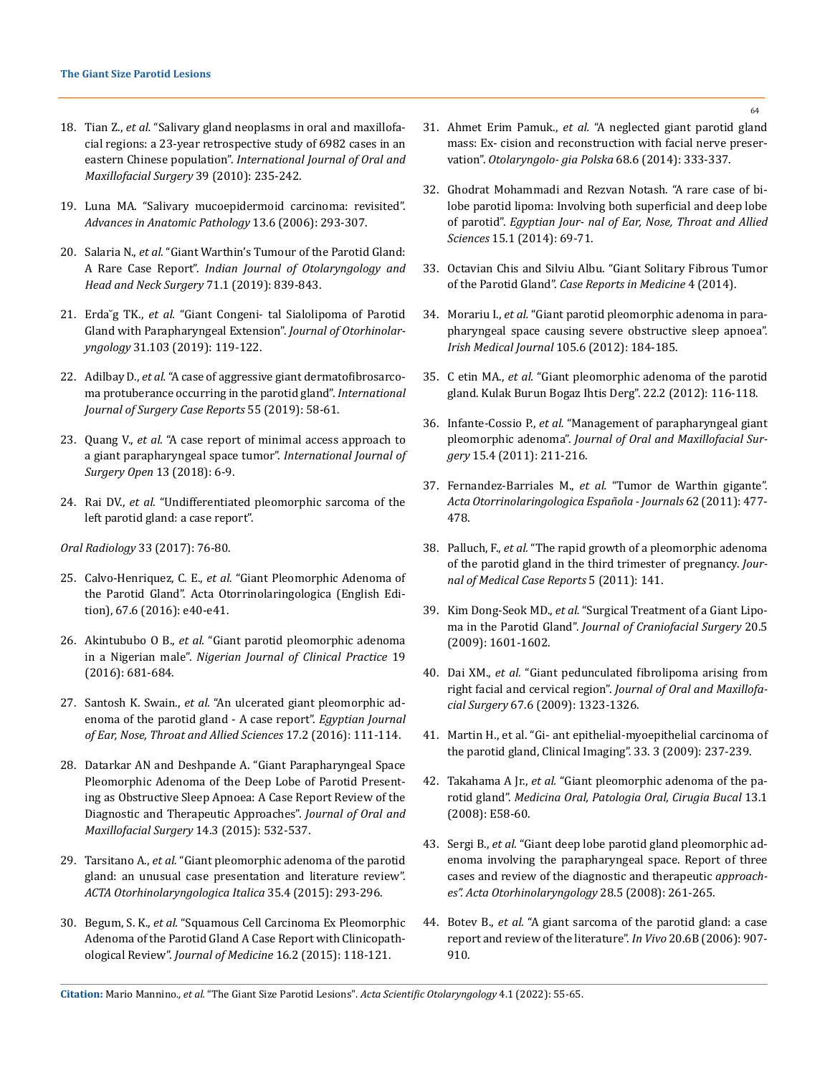- 18. Tian Z., *et al.* ["Salivary gland neoplasms in oral and maxillofa](https://pubmed.ncbi.nlm.nih.gov/19951834/)[cial regions: a 23-year retrospective study of 6982 cases in an](https://pubmed.ncbi.nlm.nih.gov/19951834/)  eastern Chinese population". *[International Journal of Oral and](https://pubmed.ncbi.nlm.nih.gov/19951834/)  [Maxillofacial Surgery](https://pubmed.ncbi.nlm.nih.gov/19951834/)* 39 (2010): 235-242.
- 19. [Luna MA. "Salivary mucoepidermoid carcinoma: revisited".](https://pubmed.ncbi.nlm.nih.gov/24771140/)  *[Advances in Anatomic Pathology](https://pubmed.ncbi.nlm.nih.gov/24771140/)* 13.6 (2006): 293-307.
- 20. Salaria N., *et al.* ["Giant Warthin's Tumour of the Parotid Gland:](https://www.ncbi.nlm.nih.gov/pmc/articles/PMC6848538/)  A Rare Case Report". *[Indian Journal of Otolaryngology and](https://www.ncbi.nlm.nih.gov/pmc/articles/PMC6848538/)  [Head and Neck Surgery](https://www.ncbi.nlm.nih.gov/pmc/articles/PMC6848538/)* 71.1 (2019): 839-843.
- 21. Erda˘g TK., *et al.* ["Giant Congeni- tal Sialolipoma of Parotid](https://pubmed.ncbi.nlm.nih.gov/30989079/)  [Gland with Parapharyngeal Extension".](https://pubmed.ncbi.nlm.nih.gov/30989079/) *Journal of Otorhinolaryngology* [31.103 \(2019\): 119-122.](https://pubmed.ncbi.nlm.nih.gov/30989079/)
- 22. Adilbay D., *et al.* ["A case of aggressive giant dermatofibrosarco](https://www.ncbi.nlm.nih.gov/pmc/articles/PMC6351289/)[ma protuberance occurring in the parotid gland".](https://www.ncbi.nlm.nih.gov/pmc/articles/PMC6351289/) *International [Journal of Surgery Case Reports](https://www.ncbi.nlm.nih.gov/pmc/articles/PMC6351289/)* 55 (2019): 58-61.
- 23. Quang V., *et al.* ["A case report of minimal access approach to](https://www.sciencedirect.com/science/article/pii/S2405857218300688)  [a giant parapharyngeal space tumor".](https://www.sciencedirect.com/science/article/pii/S2405857218300688) *International Journal of [Surgery Open](https://www.sciencedirect.com/science/article/pii/S2405857218300688)* 13 (2018): 6-9.
- 24. Rai DV., *et al.* ["Undifferentiated pleomorphic sarcoma of the](https://doi.org/10.1007/s11282-016-0246-8)  [left parotid gland: a case report".](https://doi.org/10.1007/s11282-016-0246-8)

*[Oral Radiology](https://doi.org/10.1007/s11282-016-0246-8)* 33 (2017): 76-80.

- 25. Calvo-Henriquez, C. E., *et al.* ["Giant Pleomorphic Adenoma of](https://pubmed.ncbi.nlm.nih.gov/27061390/)  [the Parotid Gland". Acta Otorrinolaringologica \(English Edi](https://pubmed.ncbi.nlm.nih.gov/27061390/)[tion\), 67.6 \(2016\): e40-e41.](https://pubmed.ncbi.nlm.nih.gov/27061390/)
- 26. Akintububo O B., *et al.* ["Giant parotid pleomorphic adenoma](https://www.njcponline.com/article.asp?issn=1119-3077;year=2016;volume=19;issue=5;spage=681;epage=684;aulast=Akintububo)  in a Nigerian male". *[Nigerian Journal of Clinical Practice](https://www.njcponline.com/article.asp?issn=1119-3077;year=2016;volume=19;issue=5;spage=681;epage=684;aulast=Akintububo)* 19 [\(2016\): 681-684.](https://www.njcponline.com/article.asp?issn=1119-3077;year=2016;volume=19;issue=5;spage=681;epage=684;aulast=Akintububo)
- 27. Santosh K. Swain., *et al.* ["An ulcerated giant pleomorphic ad](https://www.sciencedirect.com/science/article/pii/S2090074016000141)[enoma of the parotid gland - A case report".](https://www.sciencedirect.com/science/article/pii/S2090074016000141) *Egyptian Journal [of Ear, Nose, Throat and Allied Sciences](https://www.sciencedirect.com/science/article/pii/S2090074016000141)* 17.2 (2016): 111-114.
- 28. [Datarkar AN and Deshpande A. "Giant Parapharyngeal Space](https://pubmed.ncbi.nlm.nih.gov/26225040/)  [Pleomorphic Adenoma of the Deep Lobe of Parotid Present](https://pubmed.ncbi.nlm.nih.gov/26225040/)[ing as Obstructive Sleep Apnoea: A Case Report Review of the](https://pubmed.ncbi.nlm.nih.gov/26225040/)  [Diagnostic and Therapeutic Approaches".](https://pubmed.ncbi.nlm.nih.gov/26225040/) *Journal of Oral and [Maxillofacial Surgery](https://pubmed.ncbi.nlm.nih.gov/26225040/)* 14.3 (2015): 532-537.
- 29. Tarsitano A., *et al.* ["Giant pleomorphic adenoma of the parotid](https://pubmed.ncbi.nlm.nih.gov/26824218/)  [gland: an unusual case presentation and literature review".](https://pubmed.ncbi.nlm.nih.gov/26824218/)  *[ACTA Otorhinolaryngologica Italica](https://pubmed.ncbi.nlm.nih.gov/26824218/)* 35.4 (2015): 293-296.
- 30. Begum, S. K., *et al.* ["Squamous Cell Carcinoma Ex Pleomorphic](https://www.banglajol.info/index.php/JOM/article/view/25442)  [Adenoma of the Parotid Gland A Case Report with Clinicopath](https://www.banglajol.info/index.php/JOM/article/view/25442)ological Review". *[Journal of Medicine](https://www.banglajol.info/index.php/JOM/article/view/25442)* 16.2 (2015): 118-121.
- 31. Ahmet Erim Pamuk., *et al.* ["A neglected giant parotid gland](https://pubmed.ncbi.nlm.nih.gov/25441940/)  [mass: Ex- cision and reconstruction with facial nerve preser](https://pubmed.ncbi.nlm.nih.gov/25441940/)vation". *[Otolaryngolo- gia Polska](https://pubmed.ncbi.nlm.nih.gov/25441940/)* 68.6 (2014): 333-337.
- 32. [Ghodrat Mohammadi and Rezvan Notash. "A rare case of bi](https://www.sciencedirect.com/science/article/pii/S2090074013000819)[lobe parotid lipoma: Involving both superficial and deep lobe](https://www.sciencedirect.com/science/article/pii/S2090074013000819)  of parotid". *[Egyptian Jour- nal of Ear, Nose, Throat and Allied](https://www.sciencedirect.com/science/article/pii/S2090074013000819)  Sciences* [15.1 \(2014\): 69-71.](https://www.sciencedirect.com/science/article/pii/S2090074013000819)
- 33. [Octavian Chis and Silviu Albu. "Giant Solitary Fibrous Tumor](https://www.hindawi.com/journals/crim/2014/950712/)  of the Parotid Gland". *[Case Reports in Medicine](https://www.hindawi.com/journals/crim/2014/950712/)* 4 (2014).
- 34. Morariu I., *et al.* ["Giant parotid pleomorphic adenoma in para](https://pubmed.ncbi.nlm.nih.gov/22973659/)[pharyngeal space causing severe obstructive sleep apnoea".](https://pubmed.ncbi.nlm.nih.gov/22973659/)  *[Irish Medical Journal](https://pubmed.ncbi.nlm.nih.gov/22973659/)* 105.6 (2012): 184-185.
- 35. C etin MA., *et al.* ["Giant pleomorphic adenoma of the parotid](https://pubmed.ncbi.nlm.nih.gov/22548271/)  [gland. Kulak Burun Bogaz Ihtis Derg". 22.2 \(2012\): 116-118.](https://pubmed.ncbi.nlm.nih.gov/22548271/)
- 36. Infante-Cossio P., *et al.* ["Management of parapharyngeal giant](https://pubmed.ncbi.nlm.nih.gov/21842148/)  pleomorphic adenoma". *[Journal of Oral and Maxillofacial Sur](https://pubmed.ncbi.nlm.nih.gov/21842148/)gery* [15.4 \(2011\): 211-216.](https://pubmed.ncbi.nlm.nih.gov/21842148/)
- 37. Fernandez-Barriales M., *et al.* ["Tumor de Warthin gigante".](https://www.elsevier.es/en-revista-acta-otorrinolaringologica-espanola-102-articulo-tumor-warthin-gigante-S000165191000155X)  *[Acta Otorrinolaringologica Española - Journals](https://www.elsevier.es/en-revista-acta-otorrinolaringologica-espanola-102-articulo-tumor-warthin-gigante-S000165191000155X)* 62 (2011): 477- [478.](https://www.elsevier.es/en-revista-acta-otorrinolaringologica-espanola-102-articulo-tumor-warthin-gigante-S000165191000155X)
- 38. Palluch, F., *et al.* ["The rapid growth of a pleomorphic adenoma](https://doi.org/10.1186/1752-1947-5-141)  [of the parotid gland in the third trimester of pregnancy.](https://doi.org/10.1186/1752-1947-5-141) *Jour[nal of Medical Case Reports](https://doi.org/10.1186/1752-1947-5-141)* 5 (2011): 141.
- 39. Kim Dong-Seok MD., *et al.* ["Surgical Treatment of a Giant Lipo](https://pubmed.ncbi.nlm.nih.gov/19816304/)ma in the Parotid Gland". *[Journal of Craniofacial Surgery](https://pubmed.ncbi.nlm.nih.gov/19816304/)* 20.5 [\(2009\): 1601-1602.](https://pubmed.ncbi.nlm.nih.gov/19816304/)
- 40. Dai XM., *et al.* ["Giant pedunculated fibrolipoma arising from](https://pubmed.ncbi.nlm.nih.gov/19446225/)  right facial and cervical region". *[Journal of Oral and Maxillofa](https://pubmed.ncbi.nlm.nih.gov/19446225/)cial Surgery* [67.6 \(2009\): 1323-1326.](https://pubmed.ncbi.nlm.nih.gov/19446225/)
- 41. [Martin H., et al. "Gi- ant epithelial-myoepithelial carcinoma of](https://pubmed.ncbi.nlm.nih.gov/19411033/)  [the parotid gland, Clinical Imaging". 33. 3 \(2009\): 237-239.](https://pubmed.ncbi.nlm.nih.gov/19411033/)
- 42. Takahama A Jr., *et al.* ["Giant pleomorphic adenoma of the pa](https://pubmed.ncbi.nlm.nih.gov/18167483/)rotid gland". *[Medicina Oral, Patologia Oral, Cirugia Bucal](https://pubmed.ncbi.nlm.nih.gov/18167483/)* 13.1 [\(2008\): E58-60.](https://pubmed.ncbi.nlm.nih.gov/18167483/)
- 43. Sergi B., *et al.* ["Giant deep lobe parotid gland pleomorphic ad](https://www.ncbi.nlm.nih.gov/pmc/articles/PMC2689534/)[enoma involving the parapharyngeal space. Report of three](https://www.ncbi.nlm.nih.gov/pmc/articles/PMC2689534/)  [cases and review of the diagnostic and therapeutic](https://www.ncbi.nlm.nih.gov/pmc/articles/PMC2689534/) *approach[es". Acta Otorhinolaryngology](https://www.ncbi.nlm.nih.gov/pmc/articles/PMC2689534/)* 28.5 (2008): 261-265.
- 44. Botev B., *et al.* ["A giant sarcoma of the parotid gland: a case](https://pubmed.ncbi.nlm.nih.gov/17203788/)  [report and review of the literature".](https://pubmed.ncbi.nlm.nih.gov/17203788/) *In Vivo* 20.6B (2006): 907- [910.](https://pubmed.ncbi.nlm.nih.gov/17203788/)

**Citation:** Mario Mannino*., et al.* "The Giant Size Parotid Lesions". *Acta Scientific Otolaryngology* 4.1 (2022): 55-65.